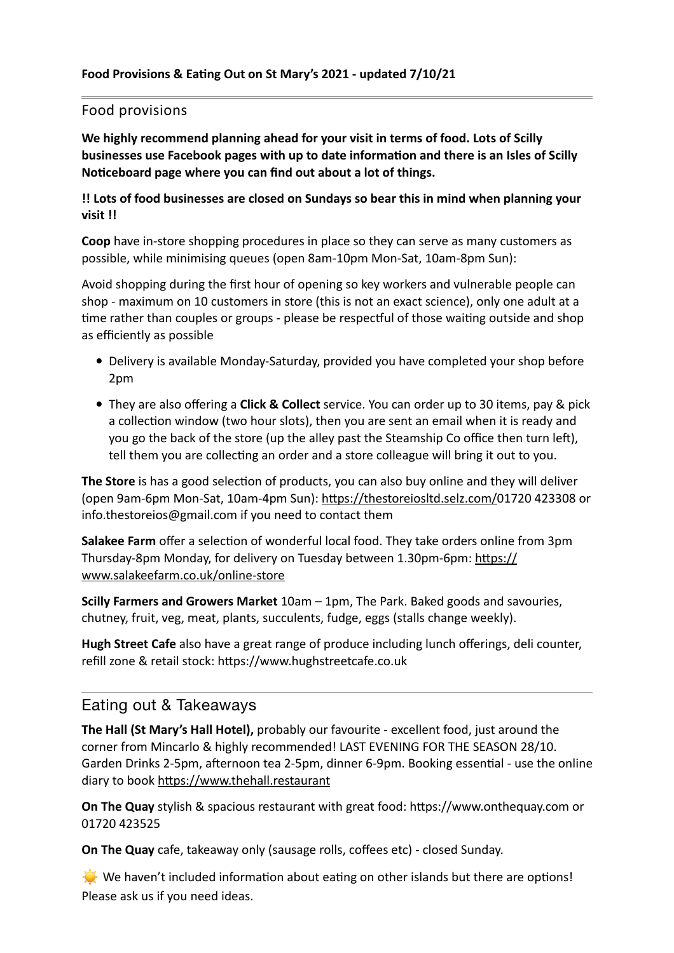## Food provisions

**We highly recommend planning ahead for your visit in terms of food. Lots of Scilly businesses use Facebook pages with up to date information and there is an Isles of Scilly Noticeboard page where you can find out about a lot of things.** 

**!! Lots of food businesses are closed on Sundays so bear this in mind when planning your visit !!**

**Coop** have in-store shopping procedures in place so they can serve as many customers as possible, while minimising queues (open 8am-10pm Mon-Sat, 10am-8pm Sun):

Avoid shopping during the first hour of opening so key workers and vulnerable people can shop - maximum on 10 customers in store (this is not an exact science), only one adult at a time rather than couples or groups - please be respectful of those waiting outside and shop as efficiently as possible

- Delivery is available Monday-Saturday, provided you have completed your shop before 2pm
- They are also offering a **Click & Collect** service. You can order up to 30 items, pay & pick a collection window (two hour slots), then you are sent an email when it is ready and you go the back of the store (up the alley past the Steamship Co office then turn left), tell them you are collecting an order and a store colleague will bring it out to you.

**The Store** is has a good selection of products, you can also buy online and they will deliver (open 9am-6pm Mon-Sat, 10am-4pm Sun): [https://thestoreiosltd.selz.com/0](https://thestoreiosltd.selz.com/)1720 423308 or info.thestoreios@gmail.com if you need to contact them

**Salakee Farm** offer a selection of wonderful local food. They take orders online from 3pm Thursday-8pm Monday, for delivery on Tuesday between 1.30pm-6pm: [https://](https://www.salakeefarm.co.uk/online-store) [www.salakeefarm.co.uk/online-store](https://www.salakeefarm.co.uk/online-store)

**Scilly Farmers and Growers Market** 10am – 1pm, The Park. Baked goods and savouries, chutney, fruit, veg, meat, plants, succulents, fudge, eggs (stalls change weekly).

**Hugh Street Cafe** also have a great range of produce including lunch offerings, deli counter, refill zone & retail stock: https://www.hughstreetcafe.co.uk

## Eating out & Takeaways

**The Hall (St Mary's Hall Hotel),** probably our favourite - excellent food, just around the corner from Mincarlo & highly recommended! LAST EVENING FOR THE SEASON 28/10. Garden Drinks 2-5pm, afternoon tea 2-5pm, dinner 6-9pm. Booking essential - use the online diary to book<https://www.thehall.restaurant>

**On The Quay** stylish & spacious restaurant with great food: https://www.onthequay.com or 01720 423525

**On The Quay** cafe, takeaway only (sausage rolls, coffees etc) - closed Sunday.

 $\mathbf{Q}$ . We haven't included information about eating on other islands but there are options! Please ask us if you need ideas.